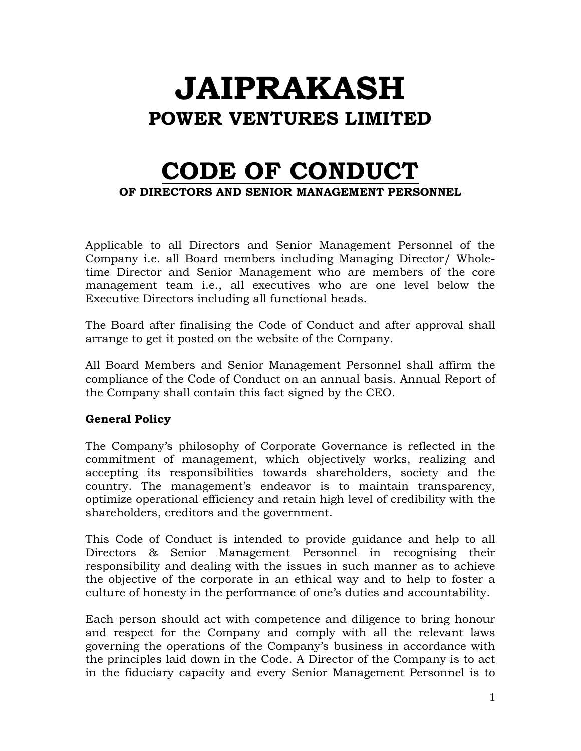# **JAIPRAKASH POWER VENTURES LIMITED**

## **CODE OF CONDUCT OF DIRECTORS AND SENIOR MANAGEMENT PERSONNEL**

Applicable to all Directors and Senior Management Personnel of the Company i.e. all Board members including Managing Director/ Wholetime Director and Senior Management who are members of the core management team i.e., all executives who are one level below the Executive Directors including all functional heads.

The Board after finalising the Code of Conduct and after approval shall arrange to get it posted on the website of the Company.

All Board Members and Senior Management Personnel shall affirm the compliance of the Code of Conduct on an annual basis. Annual Report of the Company shall contain this fact signed by the CEO.

#### **General Policy**

The Company's philosophy of Corporate Governance is reflected in the commitment of management, which objectively works, realizing and accepting its responsibilities towards shareholders, society and the country. The management's endeavor is to maintain transparency, optimize operational efficiency and retain high level of credibility with the shareholders, creditors and the government.

This Code of Conduct is intended to provide guidance and help to all Directors & Senior Management Personnel in recognising their responsibility and dealing with the issues in such manner as to achieve the objective of the corporate in an ethical way and to help to foster a culture of honesty in the performance of one's duties and accountability.

Each person should act with competence and diligence to bring honour and respect for the Company and comply with all the relevant laws governing the operations of the Company's business in accordance with the principles laid down in the Code. A Director of the Company is to act in the fiduciary capacity and every Senior Management Personnel is to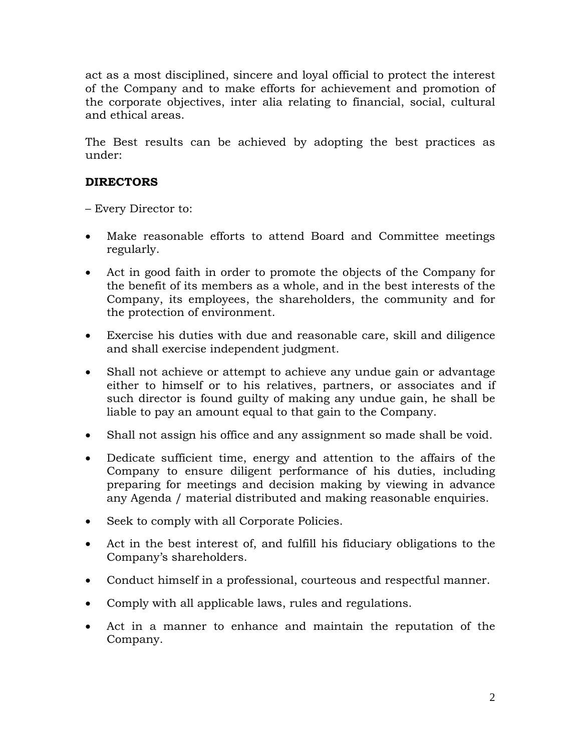act as a most disciplined, sincere and loyal official to protect the interest of the Company and to make efforts for achievement and promotion of the corporate objectives, inter alia relating to financial, social, cultural and ethical areas.

The Best results can be achieved by adopting the best practices as under:

#### **DIRECTORS**

– Every Director to:

- Make reasonable efforts to attend Board and Committee meetings regularly.
- Act in good faith in order to promote the objects of the Company for the benefit of its members as a whole, and in the best interests of the Company, its employees, the shareholders, the community and for the protection of environment.
- Exercise his duties with due and reasonable care, skill and diligence and shall exercise independent judgment.
- Shall not achieve or attempt to achieve any undue gain or advantage either to himself or to his relatives, partners, or associates and if such director is found guilty of making any undue gain, he shall be liable to pay an amount equal to that gain to the Company.
- Shall not assign his office and any assignment so made shall be void.
- Dedicate sufficient time, energy and attention to the affairs of the Company to ensure diligent performance of his duties, including preparing for meetings and decision making by viewing in advance any Agenda / material distributed and making reasonable enquiries.
- Seek to comply with all Corporate Policies.
- Act in the best interest of, and fulfill his fiduciary obligations to the Company's shareholders.
- Conduct himself in a professional, courteous and respectful manner.
- Comply with all applicable laws, rules and regulations.
- Act in a manner to enhance and maintain the reputation of the Company.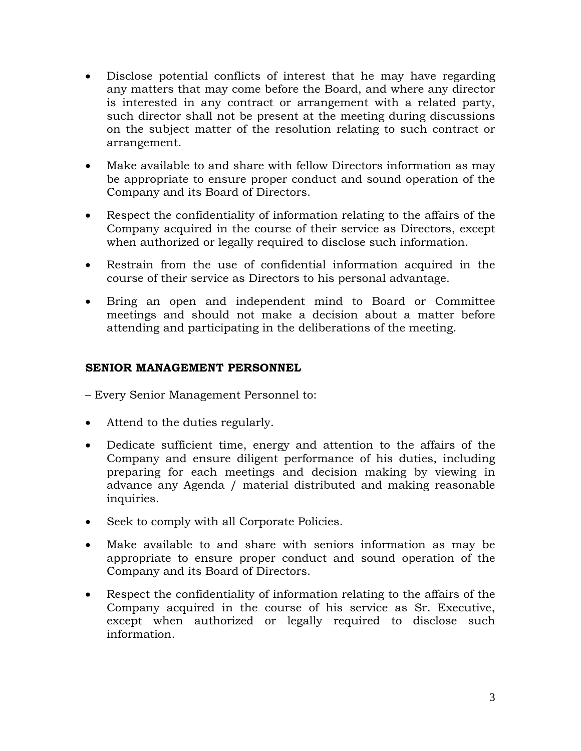- Disclose potential conflicts of interest that he may have regarding any matters that may come before the Board, and where any director is interested in any contract or arrangement with a related party, such director shall not be present at the meeting during discussions on the subject matter of the resolution relating to such contract or arrangement.
- Make available to and share with fellow Directors information as may be appropriate to ensure proper conduct and sound operation of the Company and its Board of Directors.
- Respect the confidentiality of information relating to the affairs of the Company acquired in the course of their service as Directors, except when authorized or legally required to disclose such information.
- Restrain from the use of confidential information acquired in the course of their service as Directors to his personal advantage.
- Bring an open and independent mind to Board or Committee meetings and should not make a decision about a matter before attending and participating in the deliberations of the meeting.

#### **SENIOR MANAGEMENT PERSONNEL**

– Every Senior Management Personnel to:

- Attend to the duties regularly.
- Dedicate sufficient time, energy and attention to the affairs of the Company and ensure diligent performance of his duties, including preparing for each meetings and decision making by viewing in advance any Agenda / material distributed and making reasonable inquiries.
- Seek to comply with all Corporate Policies.
- Make available to and share with seniors information as may be appropriate to ensure proper conduct and sound operation of the Company and its Board of Directors.
- Respect the confidentiality of information relating to the affairs of the Company acquired in the course of his service as Sr. Executive, except when authorized or legally required to disclose such information.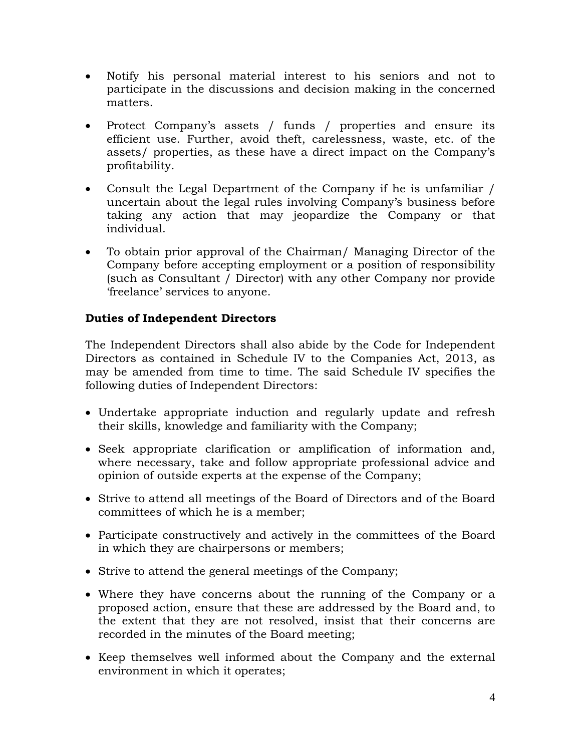- Notify his personal material interest to his seniors and not to participate in the discussions and decision making in the concerned matters.
- Protect Company's assets / funds / properties and ensure its efficient use. Further, avoid theft, carelessness, waste, etc. of the assets/ properties, as these have a direct impact on the Company's profitability.
- Consult the Legal Department of the Company if he is unfamiliar / uncertain about the legal rules involving Company's business before taking any action that may jeopardize the Company or that individual.
- To obtain prior approval of the Chairman/ Managing Director of the Company before accepting employment or a position of responsibility (such as Consultant / Director) with any other Company nor provide 'freelance' services to anyone.

### **Duties of Independent Directors**

The Independent Directors shall also abide by the Code for Independent Directors as contained in Schedule IV to the Companies Act, 2013, as may be amended from time to time. The said Schedule IV specifies the following duties of Independent Directors:

- Undertake appropriate induction and regularly update and refresh their skills, knowledge and familiarity with the Company;
- Seek appropriate clarification or amplification of information and, where necessary, take and follow appropriate professional advice and opinion of outside experts at the expense of the Company;
- Strive to attend all meetings of the Board of Directors and of the Board committees of which he is a member;
- Participate constructively and actively in the committees of the Board in which they are chairpersons or members;
- Strive to attend the general meetings of the Company;
- Where they have concerns about the running of the Company or a proposed action, ensure that these are addressed by the Board and, to the extent that they are not resolved, insist that their concerns are recorded in the minutes of the Board meeting;
- Keep themselves well informed about the Company and the external environment in which it operates;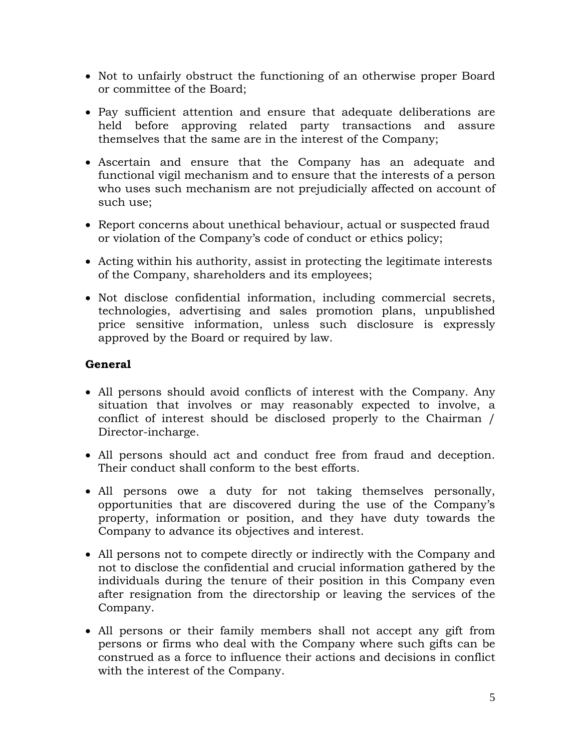- Not to unfairly obstruct the functioning of an otherwise proper Board or committee of the Board;
- Pay sufficient attention and ensure that adequate deliberations are held before approving related party transactions and assure themselves that the same are in the interest of the Company;
- Ascertain and ensure that the Company has an adequate and functional vigil mechanism and to ensure that the interests of a person who uses such mechanism are not prejudicially affected on account of such use;
- Report concerns about unethical behaviour, actual or suspected fraud or violation of the Company's code of conduct or ethics policy;
- Acting within his authority, assist in protecting the legitimate interests of the Company, shareholders and its employees;
- Not disclose confidential information, including commercial secrets, technologies, advertising and sales promotion plans, unpublished price sensitive information, unless such disclosure is expressly approved by the Board or required by law.

#### **General**

- All persons should avoid conflicts of interest with the Company. Any situation that involves or may reasonably expected to involve, a conflict of interest should be disclosed properly to the Chairman / Director-incharge.
- All persons should act and conduct free from fraud and deception. Their conduct shall conform to the best efforts.
- All persons owe a duty for not taking themselves personally, opportunities that are discovered during the use of the Company's property, information or position, and they have duty towards the Company to advance its objectives and interest.
- All persons not to compete directly or indirectly with the Company and not to disclose the confidential and crucial information gathered by the individuals during the tenure of their position in this Company even after resignation from the directorship or leaving the services of the Company.
- All persons or their family members shall not accept any gift from persons or firms who deal with the Company where such gifts can be construed as a force to influence their actions and decisions in conflict with the interest of the Company.